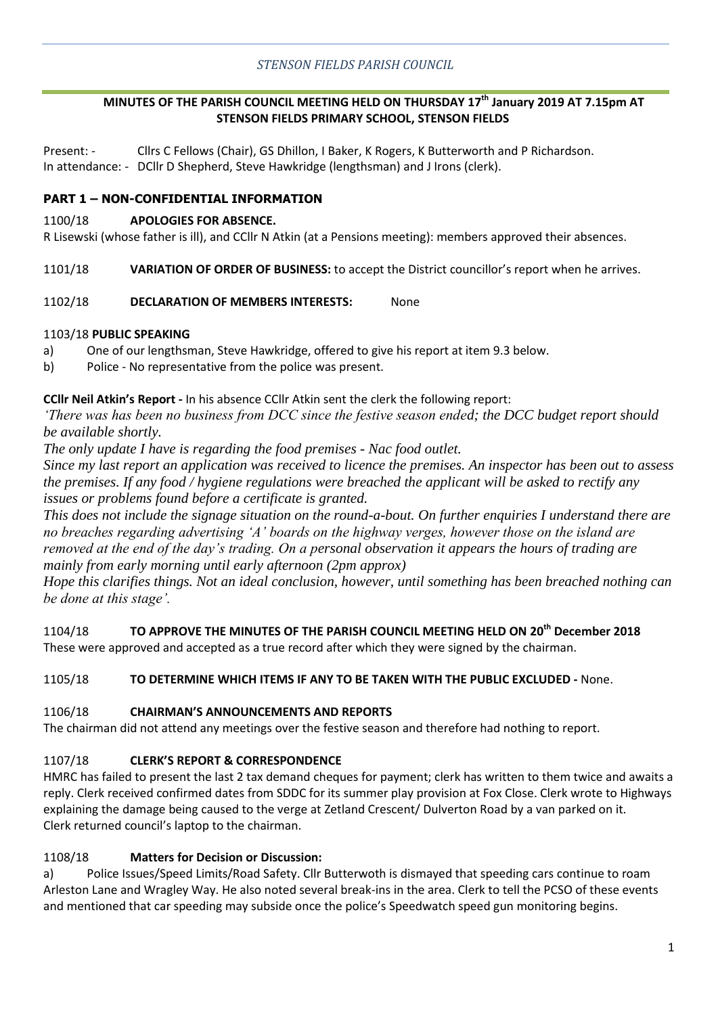# **MINUTES OF THE PARISH COUNCIL MEETING HELD ON THURSDAY 17th January 2019 AT 7.15pm AT STENSON FIELDS PRIMARY SCHOOL, STENSON FIELDS**

Present: - Cllrs C Fellows (Chair), GS Dhillon, I Baker, K Rogers, K Butterworth and P Richardson. In attendance: - DCllr D Shepherd, Steve Hawkridge (lengthsman) and J Irons (clerk).

## **PART 1 – NON-CONFIDENTIAL INFORMATION**

### 1100/18 **APOLOGIES FOR ABSENCE.**

R Lisewski (whose father is ill), and CCllr N Atkin (at a Pensions meeting): members approved their absences.

1101/18 **VARIATION OF ORDER OF BUSINESS:** to accept the District councillor's report when he arrives.

### 1102/18 **DECLARATION OF MEMBERS INTERESTS:** None

### 1103/18 **PUBLIC SPEAKING**

- a) One of our lengthsman, Steve Hawkridge, offered to give his report at item 9.3 below.
- b) Police No representative from the police was present.

### **CCllr Neil Atkin's Report -** In his absence CCllr Atkin sent the clerk the following report:

*'There was has been no business from DCC since the festive season ended; the DCC budget report should be available shortly.* 

*The only update I have is regarding the food premises - Nac food outlet.* 

*Since my last report an application was received to licence the premises. An inspector has been out to assess the premises. If any food / hygiene regulations were breached the applicant will be asked to rectify any issues or problems found before a certificate is granted.*

*This does not include the signage situation on the round-a-bout. On further enquiries I understand there are no breaches regarding advertising 'A' boards on the highway verges, however those on the island are removed at the end of the day's trading. On a personal observation it appears the hours of trading are mainly from early morning until early afternoon (2pm approx)* 

*Hope this clarifies things. Not an ideal conclusion, however, until something has been breached nothing can be done at this stage'.* 

1104/18 **TO APPROVE THE MINUTES OF THE PARISH COUNCIL MEETING HELD ON 20th December 2018** These were approved and accepted as a true record after which they were signed by the chairman.

### 1105/18 **TO DETERMINE WHICH ITEMS IF ANY TO BE TAKEN WITH THE PUBLIC EXCLUDED -** None.

### 1106/18 **CHAIRMAN'S ANNOUNCEMENTS AND REPORTS**

The chairman did not attend any meetings over the festive season and therefore had nothing to report.

## 1107/18 **CLERK'S REPORT & CORRESPONDENCE**

HMRC has failed to present the last 2 tax demand cheques for payment; clerk has written to them twice and awaits a reply. Clerk received confirmed dates from SDDC for its summer play provision at Fox Close. Clerk wrote to Highways explaining the damage being caused to the verge at Zetland Crescent/ Dulverton Road by a van parked on it. Clerk returned council's laptop to the chairman.

## 1108/18 **Matters for Decision or Discussion:**

a) Police Issues/Speed Limits/Road Safety. Cllr Butterwoth is dismayed that speeding cars continue to roam Arleston Lane and Wragley Way. He also noted several break-ins in the area. Clerk to tell the PCSO of these events and mentioned that car speeding may subside once the police's Speedwatch speed gun monitoring begins.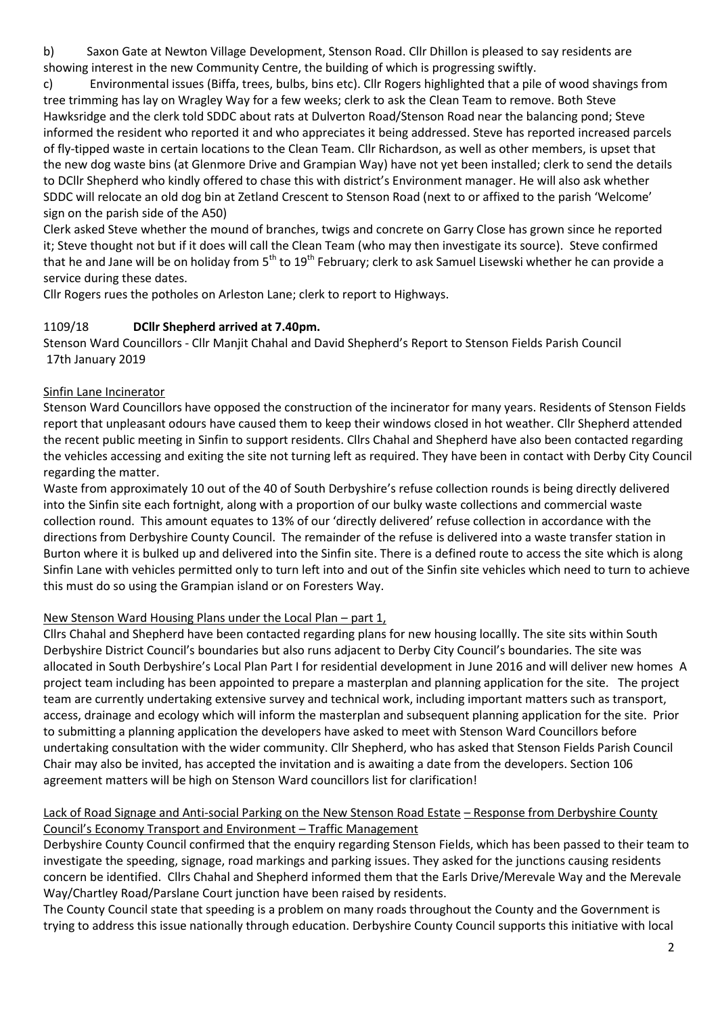b) Saxon Gate at Newton Village Development, Stenson Road. Cllr Dhillon is pleased to say residents are showing interest in the new Community Centre, the building of which is progressing swiftly.

c) Environmental issues (Biffa, trees, bulbs, bins etc). Cllr Rogers highlighted that a pile of wood shavings from tree trimming has lay on Wragley Way for a few weeks; clerk to ask the Clean Team to remove. Both Steve Hawksridge and the clerk told SDDC about rats at Dulverton Road/Stenson Road near the balancing pond; Steve informed the resident who reported it and who appreciates it being addressed. Steve has reported increased parcels of fly-tipped waste in certain locations to the Clean Team. Cllr Richardson, as well as other members, is upset that the new dog waste bins (at Glenmore Drive and Grampian Way) have not yet been installed; clerk to send the details to DCllr Shepherd who kindly offered to chase this with district's Environment manager. He will also ask whether SDDC will relocate an old dog bin at Zetland Crescent to Stenson Road (next to or affixed to the parish 'Welcome' sign on the parish side of the A50)

Clerk asked Steve whether the mound of branches, twigs and concrete on Garry Close has grown since he reported it; Steve thought not but if it does will call the Clean Team (who may then investigate its source). Steve confirmed that he and Jane will be on holiday from  $5<sup>th</sup>$  to  $19<sup>th</sup>$  February; clerk to ask Samuel Lisewski whether he can provide a service during these dates.

Cllr Rogers rues the potholes on Arleston Lane; clerk to report to Highways.

## 1109/18 **DCllr Shepherd arrived at 7.40pm.**

Stenson Ward Councillors - Cllr Manjit Chahal and David Shepherd's Report to Stenson Fields Parish Council 17th January 2019

## Sinfin Lane Incinerator

Stenson Ward Councillors have opposed the construction of the incinerator for many years. Residents of Stenson Fields report that unpleasant odours have caused them to keep their windows closed in hot weather. Cllr Shepherd attended the recent public meeting in Sinfin to support residents. Cllrs Chahal and Shepherd have also been contacted regarding the vehicles accessing and exiting the site not turning left as required. They have been in contact with Derby City Council regarding the matter.

Waste from approximately 10 out of the 40 of South Derbyshire's refuse collection rounds is being directly delivered into the Sinfin site each fortnight, along with a proportion of our bulky waste collections and commercial waste collection round. This amount equates to 13% of our 'directly delivered' refuse collection in accordance with the directions from Derbyshire County Council. The remainder of the refuse is delivered into a waste transfer station in Burton where it is bulked up and delivered into the Sinfin site. There is a defined route to access the site which is along Sinfin Lane with vehicles permitted only to turn left into and out of the Sinfin site vehicles which need to turn to achieve this must do so using the Grampian island or on Foresters Way.

## New Stenson Ward Housing Plans under the Local Plan – part 1,

Cllrs Chahal and Shepherd have been contacted regarding plans for new housing locallly. The site sits within South Derbyshire District Council's boundaries but also runs adjacent to Derby City Council's boundaries. The site was allocated in South Derbyshire's Local Plan Part I for residential development in June 2016 and will deliver new homes A project team including has been appointed to prepare a masterplan and planning application for the site. The project team are currently undertaking extensive survey and technical work, including important matters such as transport, access, drainage and ecology which will inform the masterplan and subsequent planning application for the site. Prior to submitting a planning application the developers have asked to meet with Stenson Ward Councillors before undertaking consultation with the wider community. Cllr Shepherd, who has asked that Stenson Fields Parish Council Chair may also be invited, has accepted the invitation and is awaiting a date from the developers. Section 106 agreement matters will be high on Stenson Ward councillors list for clarification!

### Lack of Road Signage and Anti-social Parking on the New Stenson Road Estate – Response from Derbyshire County Council's Economy Transport and Environment – Traffic Management

Derbyshire County Council confirmed that the enquiry regarding Stenson Fields, which has been passed to their team to investigate the speeding, signage, road markings and parking issues. They asked for the junctions causing residents concern be identified. Cllrs Chahal and Shepherd informed them that the Earls Drive/Merevale Way and the Merevale Way/Chartley Road/Parslane Court junction have been raised by residents.

The County Council state that speeding is a problem on many roads throughout the County and the Government is trying to address this issue nationally through education. Derbyshire County Council supports this initiative with local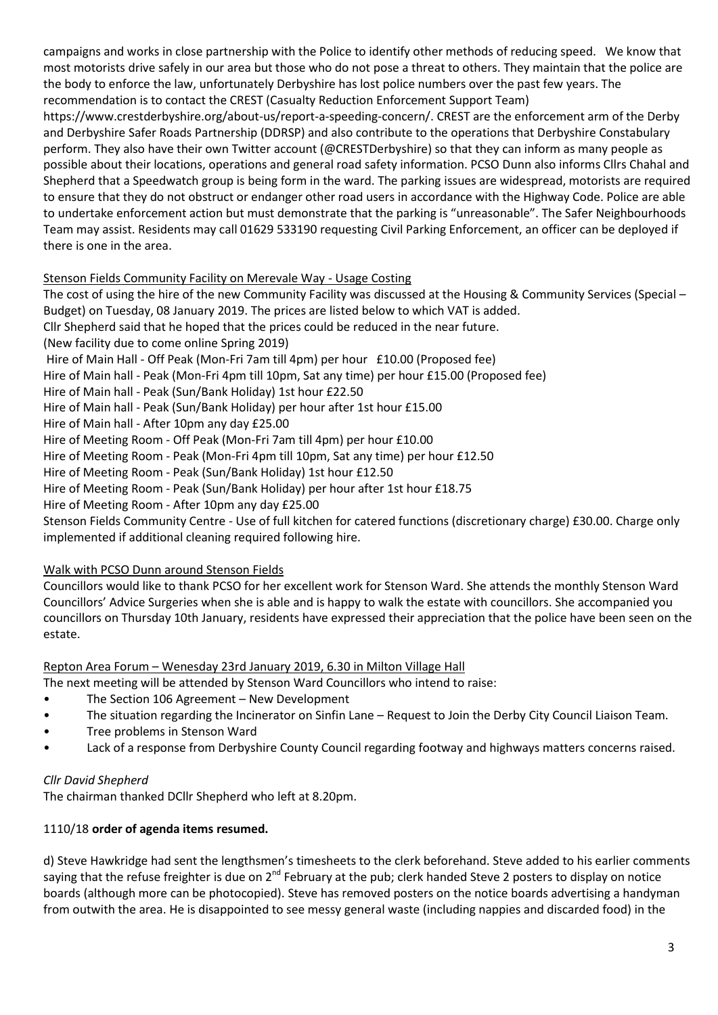campaigns and works in close partnership with the Police to identify other methods of reducing speed. We know that most motorists drive safely in our area but those who do not pose a threat to others. They maintain that the police are the body to enforce the law, unfortunately Derbyshire has lost police numbers over the past few years. The recommendation is to contact the CREST (Casualty Reduction Enforcement Support Team)

https://www.crestderbyshire.org/about-us/report-a-speeding-concern/. CREST are the enforcement arm of the Derby and Derbyshire Safer Roads Partnership (DDRSP) and also contribute to the operations that Derbyshire Constabulary perform. They also have their own Twitter account (@CRESTDerbyshire) so that they can inform as many people as possible about their locations, operations and general road safety information. PCSO Dunn also informs Cllrs Chahal and Shepherd that a Speedwatch group is being form in the ward. The parking issues are widespread, motorists are required to ensure that they do not obstruct or endanger other road users in accordance with the Highway Code. Police are able to undertake enforcement action but must demonstrate that the parking is "unreasonable". The Safer Neighbourhoods Team may assist. Residents may call 01629 533190 requesting Civil Parking Enforcement, an officer can be deployed if there is one in the area.

## Stenson Fields Community Facility on Merevale Way - Usage Costing

The cost of using the hire of the new Community Facility was discussed at the Housing & Community Services (Special – Budget) on Tuesday, 08 January 2019. The prices are listed below to which VAT is added. Cllr Shepherd said that he hoped that the prices could be reduced in the near future. (New facility due to come online Spring 2019) Hire of Main Hall - Off Peak (Mon-Fri 7am till 4pm) per hour £10.00 (Proposed fee) Hire of Main hall - Peak (Mon-Fri 4pm till 10pm, Sat any time) per hour £15.00 (Proposed fee) Hire of Main hall - Peak (Sun/Bank Holiday) 1st hour £22.50 Hire of Main hall - Peak (Sun/Bank Holiday) per hour after 1st hour £15.00 Hire of Main hall - After 10pm any day £25.00 Hire of Meeting Room - Off Peak (Mon-Fri 7am till 4pm) per hour £10.00 Hire of Meeting Room - Peak (Mon-Fri 4pm till 10pm, Sat any time) per hour £12.50 Hire of Meeting Room - Peak (Sun/Bank Holiday) 1st hour £12.50 Hire of Meeting Room - Peak (Sun/Bank Holiday) per hour after 1st hour £18.75 Hire of Meeting Room - After 10pm any day £25.00 Stenson Fields Community Centre - Use of full kitchen for catered functions (discretionary charge) £30.00. Charge only implemented if additional cleaning required following hire.

# Walk with PCSO Dunn around Stenson Fields

Councillors would like to thank PCSO for her excellent work for Stenson Ward. She attends the monthly Stenson Ward Councillors' Advice Surgeries when she is able and is happy to walk the estate with councillors. She accompanied you councillors on Thursday 10th January, residents have expressed their appreciation that the police have been seen on the estate.

# Repton Area Forum – Wenesday 23rd January 2019, 6.30 in Milton Village Hall

The next meeting will be attended by Stenson Ward Councillors who intend to raise:

- The Section 106 Agreement New Development
- The situation regarding the Incinerator on Sinfin Lane Request to Join the Derby City Council Liaison Team.
- Tree problems in Stenson Ward
- Lack of a response from Derbyshire County Council regarding footway and highways matters concerns raised.

# *Cllr David Shepherd*

The chairman thanked DCllr Shepherd who left at 8.20pm.

# 1110/18 **order of agenda items resumed.**

d) Steve Hawkridge had sent the lengthsmen's timesheets to the clerk beforehand. Steve added to his earlier comments saying that the refuse freighter is due on  $2^{nd}$  February at the pub; clerk handed Steve 2 posters to display on notice boards (although more can be photocopied). Steve has removed posters on the notice boards advertising a handyman from outwith the area. He is disappointed to see messy general waste (including nappies and discarded food) in the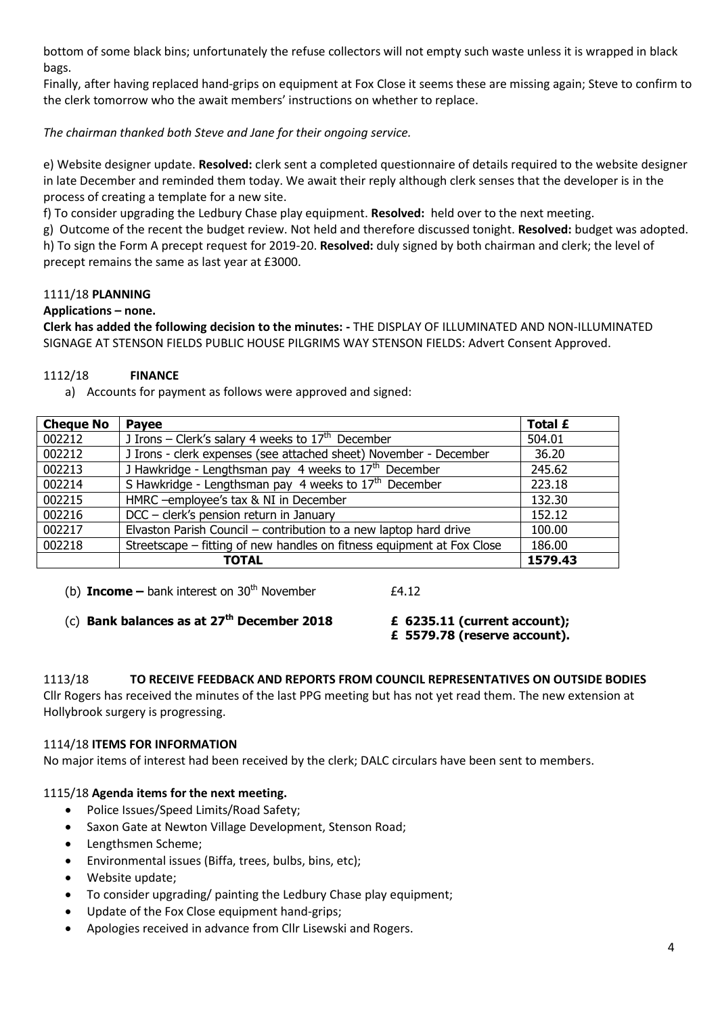bottom of some black bins; unfortunately the refuse collectors will not empty such waste unless it is wrapped in black bags.

Finally, after having replaced hand-grips on equipment at Fox Close it seems these are missing again; Steve to confirm to the clerk tomorrow who the await members' instructions on whether to replace.

*The chairman thanked both Steve and Jane for their ongoing service.*

e) Website designer update. **Resolved:** clerk sent a completed questionnaire of details required to the website designer in late December and reminded them today. We await their reply although clerk senses that the developer is in the process of creating a template for a new site.

f) To consider upgrading the Ledbury Chase play equipment. **Resolved:** held over to the next meeting.

g) Outcome of the recent the budget review. Not held and therefore discussed tonight. **Resolved:** budget was adopted. h) To sign the Form A precept request for 2019-20. **Resolved:** duly signed by both chairman and clerk; the level of precept remains the same as last year at £3000.

## 1111/18 **PLANNING**

### **Applications – none.**

**Clerk has added the following decision to the minutes: -** THE DISPLAY OF ILLUMINATED AND NON-ILLUMINATED SIGNAGE AT STENSON FIELDS PUBLIC HOUSE PILGRIMS WAY STENSON FIELDS: Advert Consent Approved.

## 1112/18 **FINANCE**

a) Accounts for payment as follows were approved and signed:

| <b>Cheque No</b> | Payee                                                                  | Total £ |
|------------------|------------------------------------------------------------------------|---------|
| 002212           | J Irons – Clerk's salary 4 weeks to $17th$ December                    | 504.01  |
| 002212           | J Irons - clerk expenses (see attached sheet) November - December      | 36.20   |
| 002213           | J Hawkridge - Lengthsman pay 4 weeks to $17th$ December                | 245.62  |
| 002214           | S Hawkridge - Lengthsman pay 4 weeks to $17th$ December                | 223.18  |
| 002215           | HMRC -employee's tax & NI in December                                  | 132.30  |
| 002216           | DCC - clerk's pension return in January                                | 152.12  |
| 002217           | Elvaston Parish Council - contribution to a new laptop hard drive      | 100.00  |
| 002218           | Streetscape – fitting of new handles on fitness equipment at Fox Close | 186.00  |
|                  | TOTAL                                                                  | 1579.43 |

(b) **Income** – bank interest on  $30<sup>th</sup>$  November  $£4.12$ 

## (c) **Bank balances as at 27th December 2018 £ 6235.11 (current account);**

**£ 5579.78 (reserve account).**

1113/18 **TO RECEIVE FEEDBACK AND REPORTS FROM COUNCIL REPRESENTATIVES ON OUTSIDE BODIES**  Cllr Rogers has received the minutes of the last PPG meeting but has not yet read them. The new extension at Hollybrook surgery is progressing.

## 1114/18 **ITEMS FOR INFORMATION**

No major items of interest had been received by the clerk; DALC circulars have been sent to members.

## 1115/18 **Agenda items for the next meeting.**

- Police Issues/Speed Limits/Road Safety;
- Saxon Gate at Newton Village Development, Stenson Road;
- Lengthsmen Scheme;
- Environmental issues (Biffa, trees, bulbs, bins, etc);
- Website update;
- To consider upgrading/ painting the Ledbury Chase play equipment;
- Update of the Fox Close equipment hand-grips;
- Apologies received in advance from Cllr Lisewski and Rogers.